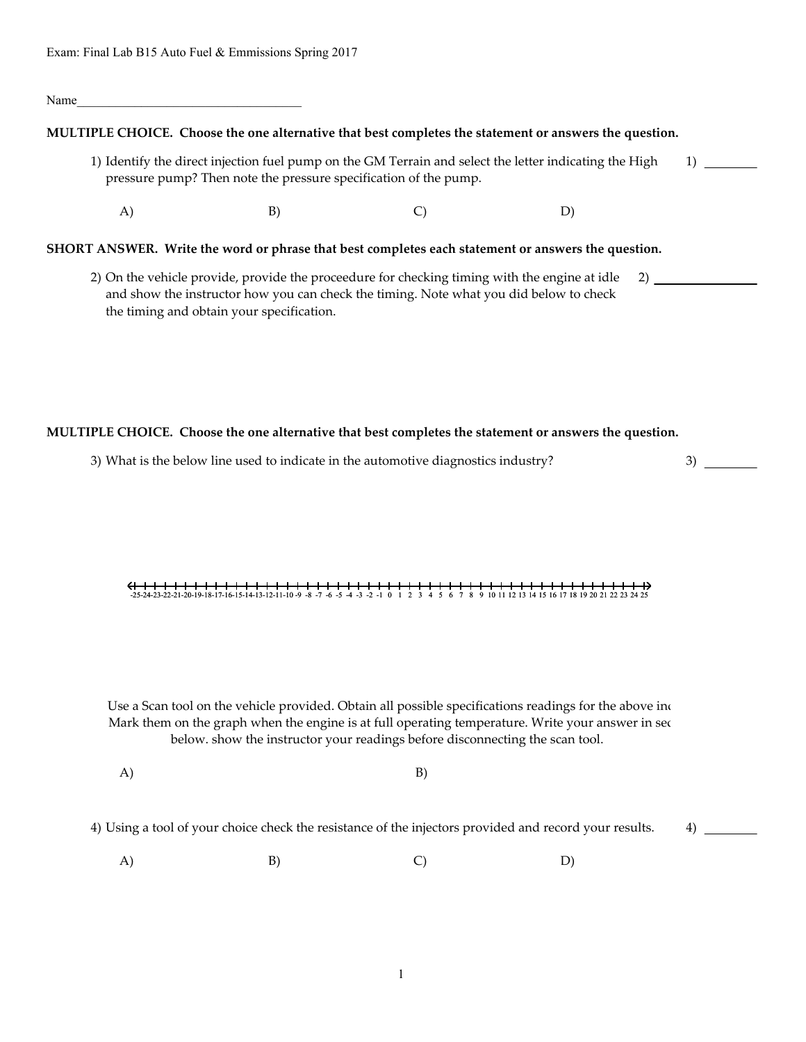#### Name\_\_\_\_\_\_\_\_\_\_\_\_\_\_\_\_\_\_\_\_\_\_\_\_\_\_\_\_\_\_\_\_\_\_\_

### **MULTIPLE CHOICE. Choose the one alternative that best completes the statement or answers the question.**

- 1) Identify the direct injection fuel pump on the GM Terrain and select the letter indicating the High pressure pump? Then note the pressure specification of the pump.  $1)$   $\equiv$ 
	- $(A)$  B) C) D)

### **SHORT ANSWER. Write the word or phrase that best completes each statement or answers the question.**

2) On the vehicle provide, provide the proceedure for checking timing with the engine at idle and show the instructor how you can check the timing. Note what you did below to check the timing and obtain your specification. 2)

# **MULTIPLE CHOICE. Choose the one alternative that best completes the statement or answers the question.**

3) What is the below line used to indicate in the automotive diagnostics industry?

3)

 $4) \ \_$ 

# -25-24-23-22-21-20-19-18-17-16-15-14-13-12-11-10 -9 -8 -7 -6 -5 -4 -3 -2 -1 0 1 2 3 4 5 6 7 8 9 10 11 12 13 14 15 16 17 18 19 20 21 22 23 24 25<br>-25-24-23-22-21-20-19-18-17-16-15-14-13-12-11-10 -9 -8 -7 -6 -5 -4 -3 -2 -1 0

Use a Scan tool on the vehicle provided. Obtain all possible specifications readings for the above ind Mark them on the graph when the engine is at full operating temperature. Write your answer in sec below. show the instructor your readings before disconnecting the scan tool.

 $(A)$  B)

4) Using a tool of your choice check the resistance of the injectors provided and record your results.

 $(A)$  B) C) D)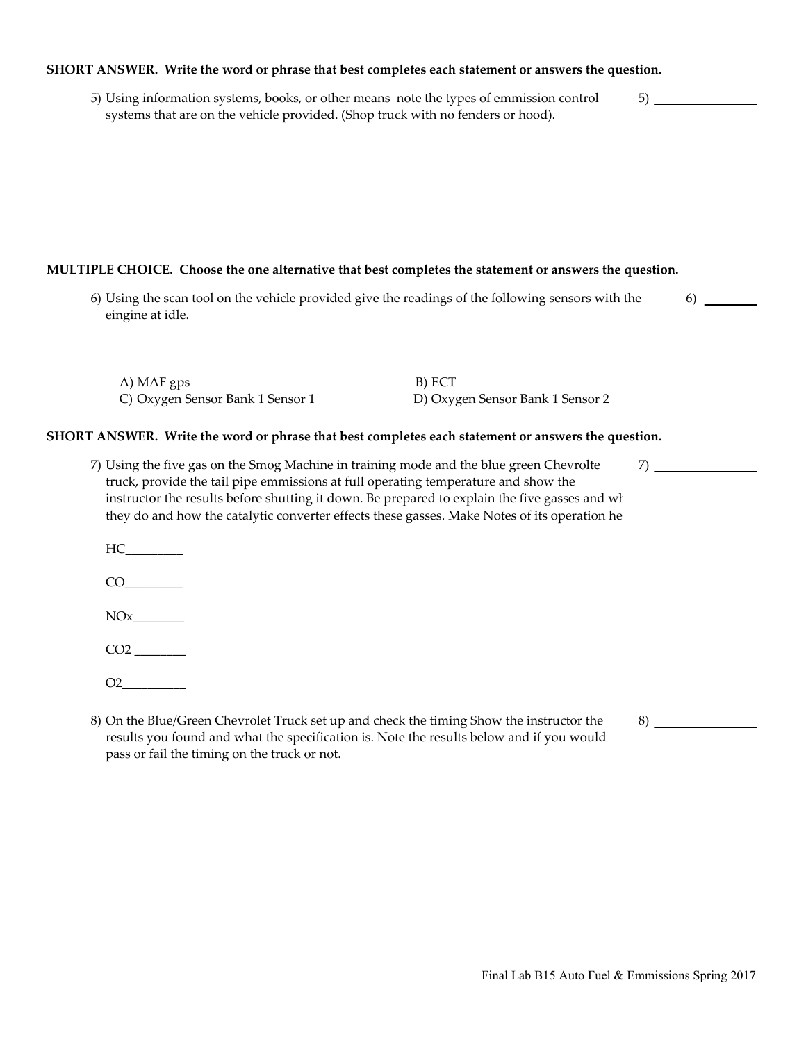# **SHORT ANSWER. Write the word or phrase that best completes each statement or answers the question.**

5) Using information systems, books, or other means note the types of emmission control systems that are on the vehicle provided. (Shop truck with no fenders or hood).

# **MULTIPLE CHOICE. Choose the one alternative that best completes the statement or answers the question.**

6) Using the scan tool on the vehicle provided give the readings of the following sensors with the eingine at idle.

| A) MAF gps                       | B) ECT                           |
|----------------------------------|----------------------------------|
| C) Oxygen Sensor Bank 1 Sensor 1 | D) Oxygen Sensor Bank 1 Sensor 2 |

### **SHORT ANSWER. Write the word or phrase that best completes each statement or answers the question.**

- 7) Using the five gas on the Smog Machine in training mode and the blue green Chevrolte truck, provide the tail pipe emmissions at full operating temperature and show the instructor the results before shutting it down. Be prepared to explain the five gasses and wh they do and how the catalytic converter effects these gasses. Make Notes of its operation he
	- $HC$
	- $CO$

 $NOx$ 

CO2 \_\_\_\_\_\_\_\_

- $O2$
- 8) On the Blue/Green Chevrolet Truck set up and check the timing Show the instructor the results you found and what the specification is. Note the results below and if you would pass or fail the timing on the truck or not.

7)

5)

6)

8)